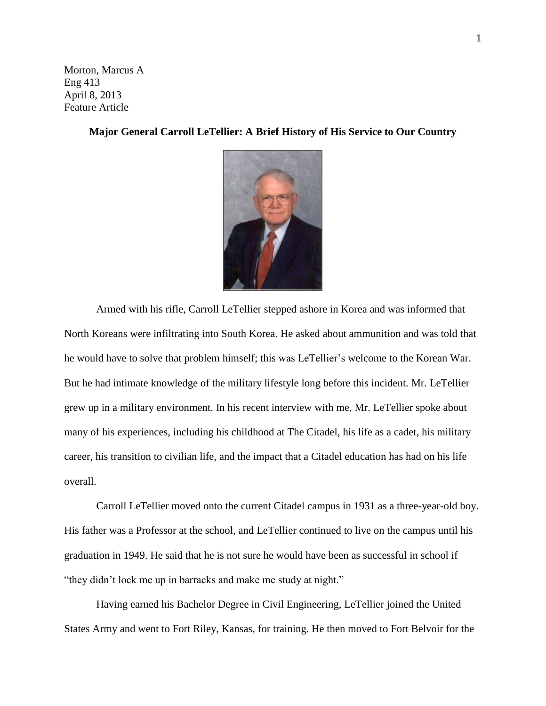Morton, Marcus A Eng 413 April 8, 2013 Feature Article

## **Major General Carroll LeTellier: A Brief History of His Service to Our Country**



Armed with his rifle, Carroll LeTellier stepped ashore in Korea and was informed that North Koreans were infiltrating into South Korea. He asked about ammunition and was told that he would have to solve that problem himself; this was LeTellier's welcome to the Korean War. But he had intimate knowledge of the military lifestyle long before this incident. Mr. LeTellier grew up in a military environment. In his recent interview with me, Mr. LeTellier spoke about many of his experiences, including his childhood at The Citadel, his life as a cadet, his military career, his transition to civilian life, and the impact that a Citadel education has had on his life overall.

Carroll LeTellier moved onto the current Citadel campus in 1931 as a three-year-old boy. His father was a Professor at the school, and LeTellier continued to live on the campus until his graduation in 1949. He said that he is not sure he would have been as successful in school if "they didn't lock me up in barracks and make me study at night."

Having earned his Bachelor Degree in Civil Engineering, LeTellier joined the United States Army and went to Fort Riley, Kansas, for training. He then moved to Fort Belvoir for the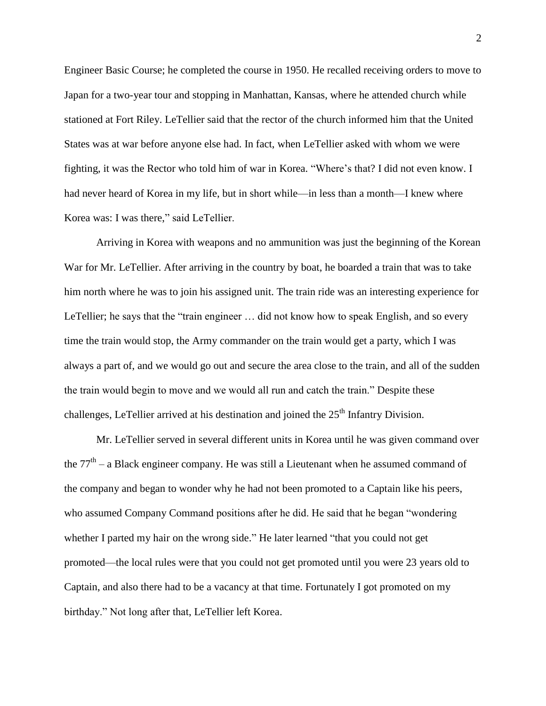Engineer Basic Course; he completed the course in 1950. He recalled receiving orders to move to Japan for a two-year tour and stopping in Manhattan, Kansas, where he attended church while stationed at Fort Riley. LeTellier said that the rector of the church informed him that the United States was at war before anyone else had. In fact, when LeTellier asked with whom we were fighting, it was the Rector who told him of war in Korea. "Where's that? I did not even know. I had never heard of Korea in my life, but in short while—in less than a month—I knew where Korea was: I was there," said LeTellier.

Arriving in Korea with weapons and no ammunition was just the beginning of the Korean War for Mr. LeTellier. After arriving in the country by boat, he boarded a train that was to take him north where he was to join his assigned unit. The train ride was an interesting experience for LeTellier; he says that the "train engineer … did not know how to speak English, and so every time the train would stop, the Army commander on the train would get a party, which I was always a part of, and we would go out and secure the area close to the train, and all of the sudden the train would begin to move and we would all run and catch the train." Despite these challenges, LeTellier arrived at his destination and joined the  $25<sup>th</sup>$  Infantry Division.

Mr. LeTellier served in several different units in Korea until he was given command over the  $77<sup>th</sup>$  – a Black engineer company. He was still a Lieutenant when he assumed command of the company and began to wonder why he had not been promoted to a Captain like his peers, who assumed Company Command positions after he did. He said that he began "wondering whether I parted my hair on the wrong side." He later learned "that you could not get promoted—the local rules were that you could not get promoted until you were 23 years old to Captain, and also there had to be a vacancy at that time. Fortunately I got promoted on my birthday." Not long after that, LeTellier left Korea.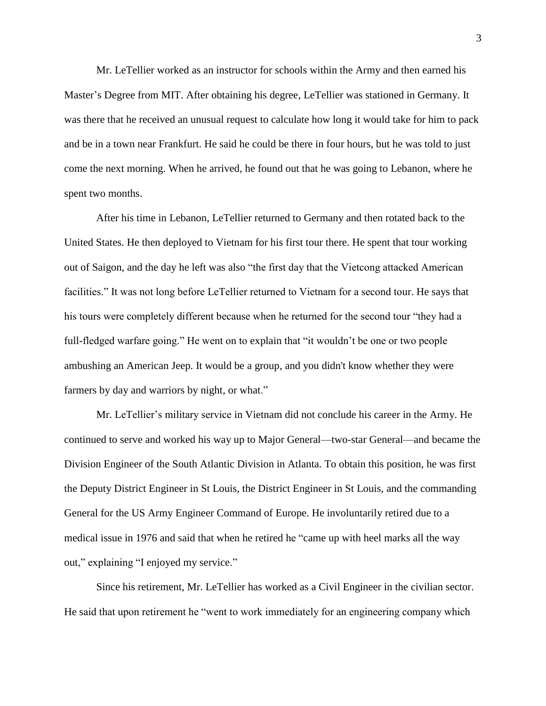Mr. LeTellier worked as an instructor for schools within the Army and then earned his Master's Degree from MIT. After obtaining his degree, LeTellier was stationed in Germany. It was there that he received an unusual request to calculate how long it would take for him to pack and be in a town near Frankfurt. He said he could be there in four hours, but he was told to just come the next morning. When he arrived, he found out that he was going to Lebanon, where he spent two months.

After his time in Lebanon, LeTellier returned to Germany and then rotated back to the United States. He then deployed to Vietnam for his first tour there. He spent that tour working out of Saigon, and the day he left was also "the first day that the Vietcong attacked American facilities." It was not long before LeTellier returned to Vietnam for a second tour. He says that his tours were completely different because when he returned for the second tour "they had a full-fledged warfare going." He went on to explain that "it wouldn't be one or two people ambushing an American Jeep. It would be a group, and you didn't know whether they were farmers by day and warriors by night, or what."

Mr. LeTellier's military service in Vietnam did not conclude his career in the Army. He continued to serve and worked his way up to Major General—two-star General—and became the Division Engineer of the South Atlantic Division in Atlanta. To obtain this position, he was first the Deputy District Engineer in St Louis, the District Engineer in St Louis, and the commanding General for the US Army Engineer Command of Europe. He involuntarily retired due to a medical issue in 1976 and said that when he retired he "came up with heel marks all the way out," explaining "I enjoyed my service."

Since his retirement, Mr. LeTellier has worked as a Civil Engineer in the civilian sector. He said that upon retirement he "went to work immediately for an engineering company which